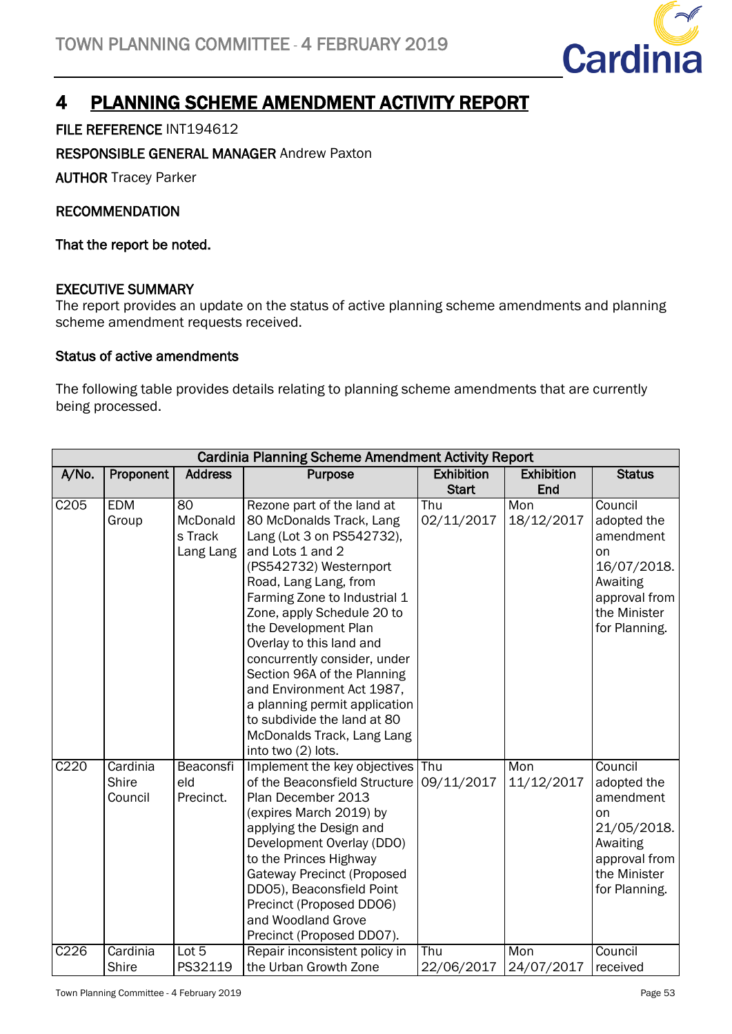

# 4 PLANNING SCHEME AMENDMENT ACTIVITY REPORT

### FILE REFERENCE INT194612

#### RESPONSIBLE GENERAL MANAGER Andrew Paxton

AUTHOR Tracey Parker

#### RECOMMENDATION

That the report be noted.

#### EXECUTIVE SUMMARY

The report provides an update on the status of active planning scheme amendments and planning scheme amendment requests received.

#### Status of active amendments

The following table provides details relating to planning scheme amendments that are currently being processed.

| <b>Cardinia Planning Scheme Amendment Activity Report</b> |                              |                                        |                                                                                                                                                                                                                                                                                                                                                                                                                                                                                              |                                   |                          |                                                                                                                               |  |
|-----------------------------------------------------------|------------------------------|----------------------------------------|----------------------------------------------------------------------------------------------------------------------------------------------------------------------------------------------------------------------------------------------------------------------------------------------------------------------------------------------------------------------------------------------------------------------------------------------------------------------------------------------|-----------------------------------|--------------------------|-------------------------------------------------------------------------------------------------------------------------------|--|
| A/No.                                                     | Proponent                    | <b>Address</b>                         | Purpose                                                                                                                                                                                                                                                                                                                                                                                                                                                                                      | <b>Exhibition</b><br><b>Start</b> | <b>Exhibition</b><br>End | <b>Status</b>                                                                                                                 |  |
| C205                                                      | <b>EDM</b><br>Group          | 80<br>McDonald<br>s Track<br>Lang Lang | Rezone part of the land at<br>80 McDonalds Track, Lang<br>Lang (Lot 3 on PS542732),<br>and Lots 1 and 2<br>(PS542732) Westernport<br>Road, Lang Lang, from<br>Farming Zone to Industrial 1<br>Zone, apply Schedule 20 to<br>the Development Plan<br>Overlay to this land and<br>concurrently consider, under<br>Section 96A of the Planning<br>and Environment Act 1987,<br>a planning permit application<br>to subdivide the land at 80<br>McDonalds Track, Lang Lang<br>into two (2) lots. | Thu<br>02/11/2017                 | Mon<br>18/12/2017        | Council<br>adopted the<br>amendment<br>on<br>16/07/2018.<br>Awaiting<br>approval from<br>the Minister<br>for Planning.        |  |
| C220                                                      | Cardinia<br>Shire<br>Council | Beaconsfi<br>eld<br>Precinct.          | Implement the key objectives<br>of the Beaconsfield Structure<br>Plan December 2013<br>(expires March 2019) by<br>applying the Design and<br>Development Overlay (DDO)<br>to the Princes Highway<br><b>Gateway Precinct (Proposed</b><br>DD05), Beaconsfield Point<br>Precinct (Proposed DD06)<br>and Woodland Grove<br>Precinct (Proposed DDO7).                                                                                                                                            | Thu<br>09/11/2017                 | Mon<br>11/12/2017        | Council<br>adopted the<br>amendment<br><b>on</b><br>21/05/2018.<br>Awaiting<br>approval from<br>the Minister<br>for Planning. |  |
| C226                                                      | Cardinia<br>Shire            | Lot 5<br>PS32119                       | Repair inconsistent policy in<br>the Urban Growth Zone                                                                                                                                                                                                                                                                                                                                                                                                                                       | Thu<br>22/06/2017                 | Mon<br>24/07/2017        | Council<br>received                                                                                                           |  |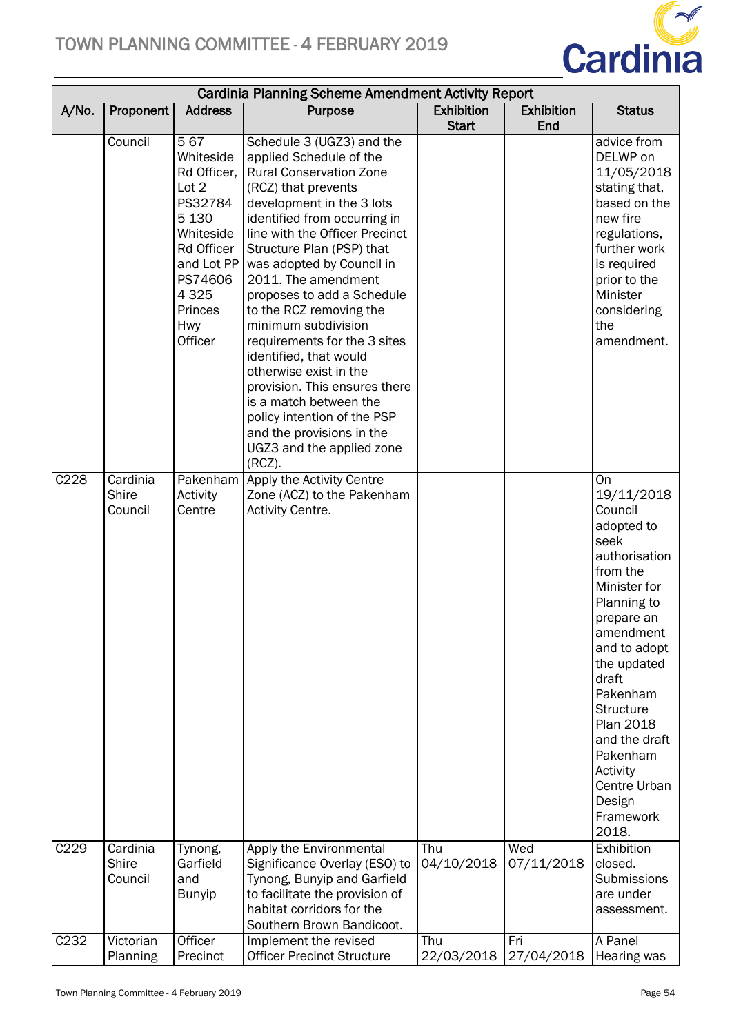

|                  | <b>Cardinia Planning Scheme Amendment Activity Report</b> |                                                                                                                                                                   |                                                                                                                                                                                                                                                                                                                                                                                                                                                                                                                                                                                                                                    |                   |                   |                                                                                                                                                                                                                                                                                                                        |  |
|------------------|-----------------------------------------------------------|-------------------------------------------------------------------------------------------------------------------------------------------------------------------|------------------------------------------------------------------------------------------------------------------------------------------------------------------------------------------------------------------------------------------------------------------------------------------------------------------------------------------------------------------------------------------------------------------------------------------------------------------------------------------------------------------------------------------------------------------------------------------------------------------------------------|-------------------|-------------------|------------------------------------------------------------------------------------------------------------------------------------------------------------------------------------------------------------------------------------------------------------------------------------------------------------------------|--|
| A/No.            | Proponent                                                 | <b>Address</b>                                                                                                                                                    | Purpose                                                                                                                                                                                                                                                                                                                                                                                                                                                                                                                                                                                                                            | <b>Exhibition</b> | <b>Exhibition</b> | <b>Status</b>                                                                                                                                                                                                                                                                                                          |  |
|                  |                                                           |                                                                                                                                                                   |                                                                                                                                                                                                                                                                                                                                                                                                                                                                                                                                                                                                                                    | <b>Start</b>      | End               |                                                                                                                                                                                                                                                                                                                        |  |
|                  | Council                                                   | 567<br>Whiteside<br>Rd Officer,<br>Lot 2<br>PS32784<br>5 1 3 0<br>Whiteside<br>Rd Officer<br>and Lot PP<br>PS74606<br>4 3 2 5<br>Princes<br><b>Hwy</b><br>Officer | Schedule 3 (UGZ3) and the<br>applied Schedule of the<br><b>Rural Conservation Zone</b><br>(RCZ) that prevents<br>development in the 3 lots<br>identified from occurring in<br>line with the Officer Precinct<br>Structure Plan (PSP) that<br>was adopted by Council in<br>2011. The amendment<br>proposes to add a Schedule<br>to the RCZ removing the<br>minimum subdivision<br>requirements for the 3 sites<br>identified, that would<br>otherwise exist in the<br>provision. This ensures there<br>is a match between the<br>policy intention of the PSP<br>and the provisions in the<br>UGZ3 and the applied zone<br>$(RCZ)$ . |                   |                   | advice from<br>DELWP on<br>11/05/2018<br>stating that,<br>based on the<br>new fire<br>regulations,<br>further work<br>is required<br>prior to the<br>Minister<br>considering<br>the<br>amendment.                                                                                                                      |  |
| C228             | Cardinia<br>Shire<br>Council                              | Activity<br>Centre                                                                                                                                                | Pakenham Apply the Activity Centre<br>Zone (ACZ) to the Pakenham<br>Activity Centre.                                                                                                                                                                                                                                                                                                                                                                                                                                                                                                                                               |                   |                   | On<br>19/11/2018<br>Council<br>adopted to<br>seek<br>authorisation<br>from the<br>Minister for<br>Planning to<br>prepare an<br>amendment<br>and to adopt<br>the updated<br>draft<br>Pakenham<br><b>Structure</b><br>Plan 2018<br>and the draft<br>Pakenham<br>Activity<br>Centre Urban<br>Design<br>Framework<br>2018. |  |
| C <sub>229</sub> | Cardinia<br><b>Shire</b><br>Council                       | Tynong,<br>Garfield<br>and<br><b>Bunyip</b>                                                                                                                       | Apply the Environmental<br>Significance Overlay (ESO) to<br>Tynong, Bunyip and Garfield<br>to facilitate the provision of<br>habitat corridors for the                                                                                                                                                                                                                                                                                                                                                                                                                                                                             | Thu<br>04/10/2018 | Wed<br>07/11/2018 | Exhibition<br>closed.<br>Submissions<br>are under<br>assessment.                                                                                                                                                                                                                                                       |  |
|                  |                                                           |                                                                                                                                                                   | Southern Brown Bandicoot.                                                                                                                                                                                                                                                                                                                                                                                                                                                                                                                                                                                                          |                   |                   |                                                                                                                                                                                                                                                                                                                        |  |
| C <sub>232</sub> | Victorian<br>Planning                                     | Officer<br>Precinct                                                                                                                                               | Implement the revised<br><b>Officer Precinct Structure</b>                                                                                                                                                                                                                                                                                                                                                                                                                                                                                                                                                                         | Thu<br>22/03/2018 | Fri<br>27/04/2018 | A Panel<br>Hearing was                                                                                                                                                                                                                                                                                                 |  |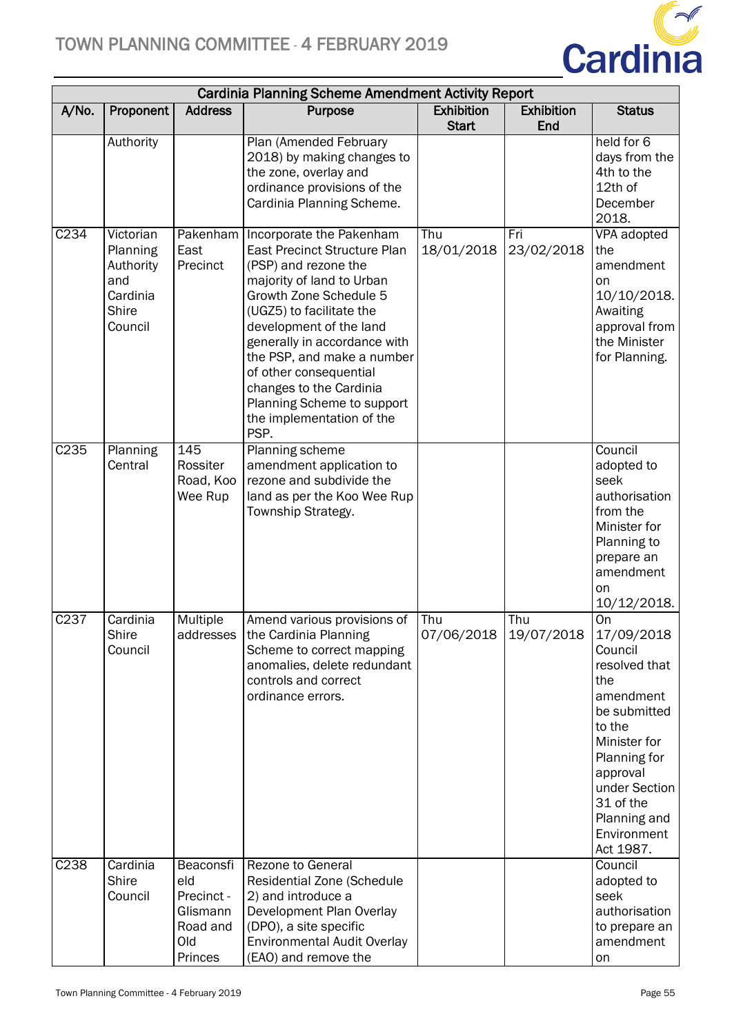

| <b>Cardinia Planning Scheme Amendment Activity Report</b> |                                                                           |                                                                          |                                                                                                                                                                                                                                                                                                                                                                                                        |                                   |                          |                                                                                                                                                                                                                  |
|-----------------------------------------------------------|---------------------------------------------------------------------------|--------------------------------------------------------------------------|--------------------------------------------------------------------------------------------------------------------------------------------------------------------------------------------------------------------------------------------------------------------------------------------------------------------------------------------------------------------------------------------------------|-----------------------------------|--------------------------|------------------------------------------------------------------------------------------------------------------------------------------------------------------------------------------------------------------|
| A/No.                                                     | Proponent                                                                 | <b>Address</b>                                                           | Purpose                                                                                                                                                                                                                                                                                                                                                                                                | <b>Exhibition</b><br><b>Start</b> | <b>Exhibition</b><br>End | <b>Status</b>                                                                                                                                                                                                    |
|                                                           | Authority                                                                 |                                                                          | Plan (Amended February<br>2018) by making changes to<br>the zone, overlay and<br>ordinance provisions of the<br>Cardinia Planning Scheme.                                                                                                                                                                                                                                                              |                                   |                          | held for 6<br>days from the<br>4th to the<br>12th of<br>December<br>2018.                                                                                                                                        |
| C234                                                      | Victorian<br>Planning<br>Authority<br>and<br>Cardinia<br>Shire<br>Council | East<br>Precinct                                                         | Pakenham   Incorporate the Pakenham<br><b>East Precinct Structure Plan</b><br>(PSP) and rezone the<br>majority of land to Urban<br>Growth Zone Schedule 5<br>(UGZ5) to facilitate the<br>development of the land<br>generally in accordance with<br>the PSP, and make a number<br>of other consequential<br>changes to the Cardinia<br>Planning Scheme to support<br>the implementation of the<br>PSP. | Thu<br>18/01/2018                 | Fri<br>23/02/2018        | VPA adopted<br>the<br>amendment<br>on<br>10/10/2018.<br>Awaiting<br>approval from<br>the Minister<br>for Planning.                                                                                               |
| C <sub>235</sub>                                          | Planning<br>Central                                                       | 145<br>Rossiter<br>Road, Koo<br>Wee Rup                                  | <b>Planning scheme</b><br>amendment application to<br>rezone and subdivide the<br>land as per the Koo Wee Rup<br>Township Strategy.                                                                                                                                                                                                                                                                    |                                   |                          | Council<br>adopted to<br>seek<br>authorisation<br>from the<br>Minister for<br>Planning to<br>prepare an<br>amendment<br>on<br>10/12/2018.                                                                        |
| C <sub>237</sub>                                          | Cardinia<br>Shire<br>Council                                              | Multiple                                                                 | Amend various provisions of<br>addresses   the Cardinia Planning<br>Scheme to correct mapping<br>anomalies, delete redundant<br>controls and correct<br>ordinance errors.                                                                                                                                                                                                                              | Thu<br>07/06/2018 19/07/2018      | Thu                      | On<br>17/09/2018<br>Council<br>resolved that<br>the<br>amendment<br>be submitted<br>to the<br>Minister for<br>Planning for<br>approval<br>under Section<br>31 of the<br>Planning and<br>Environment<br>Act 1987. |
| C238                                                      | Cardinia<br><b>Shire</b><br>Council                                       | Beaconsfi<br>eld<br>Precinct -<br>Glismann<br>Road and<br>Old<br>Princes | <b>Rezone to General</b><br>Residential Zone (Schedule<br>2) and introduce a<br>Development Plan Overlay<br>(DPO), a site specific<br><b>Environmental Audit Overlay</b><br>(EAO) and remove the                                                                                                                                                                                                       |                                   |                          | Council<br>adopted to<br>seek<br>authorisation<br>to prepare an<br>amendment<br>on                                                                                                                               |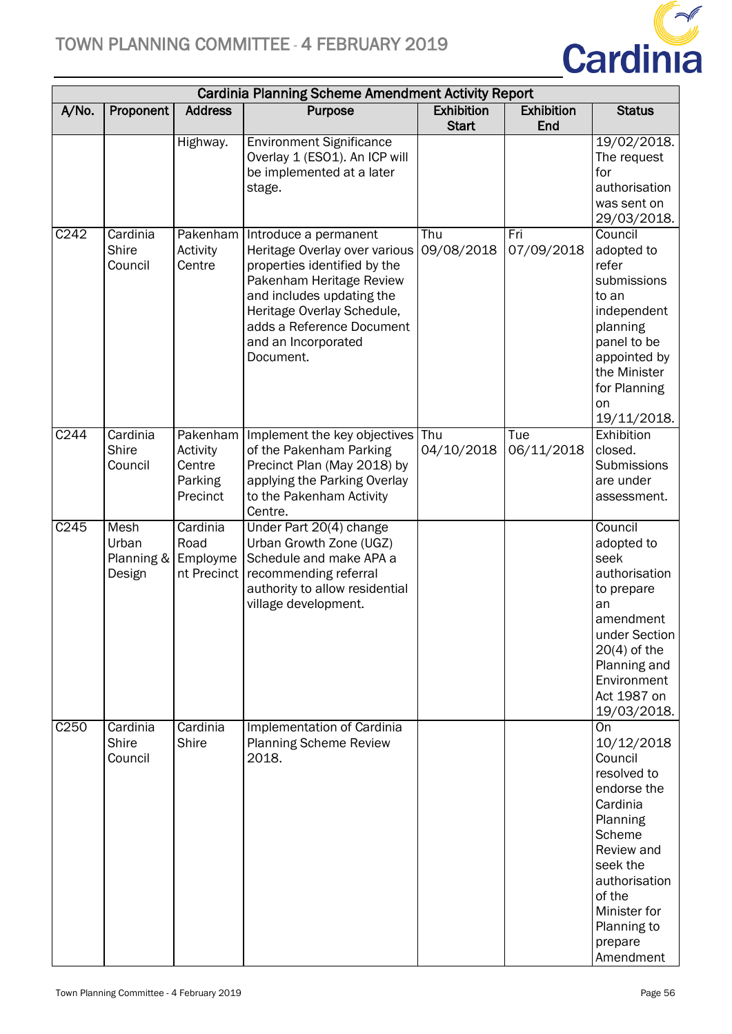

| <b>Cardinia Planning Scheme Amendment Activity Report</b> |                                       |                                                       |                                                                                                                                                                                                                                                |                                   |                          |                                                                                                                                                                                                                |
|-----------------------------------------------------------|---------------------------------------|-------------------------------------------------------|------------------------------------------------------------------------------------------------------------------------------------------------------------------------------------------------------------------------------------------------|-----------------------------------|--------------------------|----------------------------------------------------------------------------------------------------------------------------------------------------------------------------------------------------------------|
| A/No.                                                     | Proponent                             | <b>Address</b>                                        | <b>Purpose</b>                                                                                                                                                                                                                                 | <b>Exhibition</b><br><b>Start</b> | <b>Exhibition</b><br>End | <b>Status</b>                                                                                                                                                                                                  |
|                                                           |                                       | Highway.                                              | <b>Environment Significance</b><br>Overlay 1 (ESO1). An ICP will<br>be implemented at a later<br>stage.                                                                                                                                        |                                   |                          | 19/02/2018.<br>The request<br>for<br>authorisation<br>was sent on<br>29/03/2018.                                                                                                                               |
| C242                                                      | Cardinia<br>Shire<br>Council          | Pakenham<br>Activity<br>Centre                        | Introduce a permanent<br>Heritage Overlay over various<br>properties identified by the<br>Pakenham Heritage Review<br>and includes updating the<br>Heritage Overlay Schedule,<br>adds a Reference Document<br>and an Incorporated<br>Document. | Thu<br>09/08/2018                 | Fri<br>07/09/2018        | Council<br>adopted to<br>refer<br>submissions<br>to an<br>independent<br>planning<br>panel to be<br>appointed by<br>the Minister<br>for Planning<br>on<br>19/11/2018.                                          |
| C <sub>244</sub>                                          | Cardinia<br>Shire<br>Council          | Pakenham<br>Activity<br>Centre<br>Parking<br>Precinct | Implement the key objectives<br>of the Pakenham Parking<br>Precinct Plan (May 2018) by<br>applying the Parking Overlay<br>to the Pakenham Activity<br>Centre.                                                                                  | Thu<br>04/10/2018                 | Tue<br>06/11/2018        | Exhibition<br>closed.<br>Submissions<br>are under<br>assessment.                                                                                                                                               |
| C245                                                      | Mesh<br>Urban<br>Planning &<br>Design | Cardinia<br>Road<br>Employme<br>nt Precinct           | Under Part 20(4) change<br>Urban Growth Zone (UGZ)<br>Schedule and make APA a<br>recommending referral<br>authority to allow residential<br>village development.                                                                               |                                   |                          | Council<br>adopted to<br>seek<br>authorisation<br>to prepare<br>an<br>amendment<br>under Section<br>$20(4)$ of the<br>Planning and<br>Environment<br>Act 1987 on<br>19/03/2018.                                |
| C <sub>250</sub>                                          | Cardinia<br>Shire<br>Council          | Cardinia<br>Shire                                     | <b>Implementation of Cardinia</b><br><b>Planning Scheme Review</b><br>2018.                                                                                                                                                                    |                                   |                          | <b>On</b><br>10/12/2018<br>Council<br>resolved to<br>endorse the<br>Cardinia<br>Planning<br>Scheme<br>Review and<br>seek the<br>authorisation<br>of the<br>Minister for<br>Planning to<br>prepare<br>Amendment |